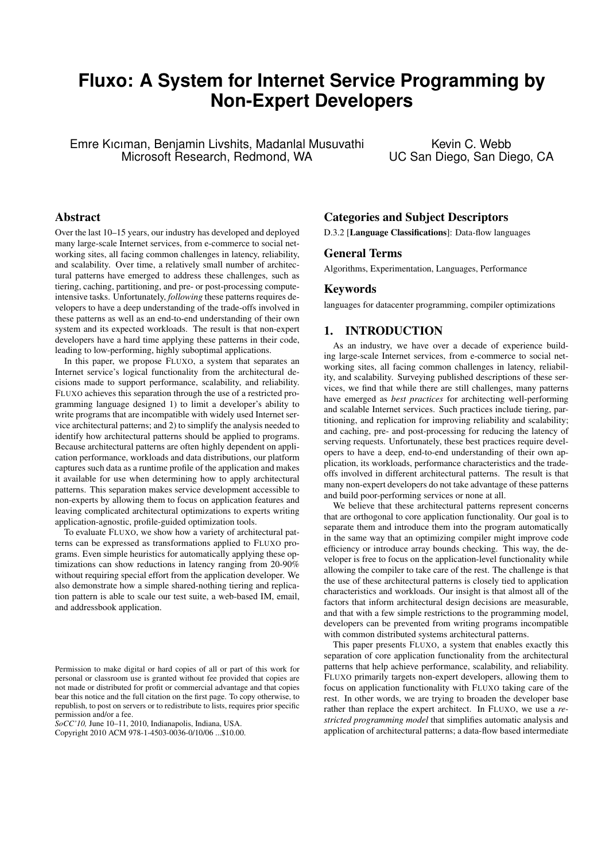# **Fluxo: A System for Internet Service Programming by Non-Expert Developers**

Emre Kıcıman, Benjamin Livshits, Madanlal Musuvathi Microsoft Research, Redmond, WA

Kevin C. Webb UC San Diego, San Diego, CA

# Abstract

Over the last 10–15 years, our industry has developed and deployed many large-scale Internet services, from e-commerce to social networking sites, all facing common challenges in latency, reliability, and scalability. Over time, a relatively small number of architectural patterns have emerged to address these challenges, such as tiering, caching, partitioning, and pre- or post-processing computeintensive tasks. Unfortunately, *following* these patterns requires developers to have a deep understanding of the trade-offs involved in these patterns as well as an end-to-end understanding of their own system and its expected workloads. The result is that non-expert developers have a hard time applying these patterns in their code, leading to low-performing, highly suboptimal applications.

In this paper, we propose FLUXO, a system that separates an Internet service's logical functionality from the architectural decisions made to support performance, scalability, and reliability. FLUXO achieves this separation through the use of a restricted programming language designed 1) to limit a developer's ability to write programs that are incompatible with widely used Internet service architectural patterns; and 2) to simplify the analysis needed to identify how architectural patterns should be applied to programs. Because architectural patterns are often highly dependent on application performance, workloads and data distributions, our platform captures such data as a runtime profile of the application and makes it available for use when determining how to apply architectural patterns. This separation makes service development accessible to non-experts by allowing them to focus on application features and leaving complicated architectural optimizations to experts writing application-agnostic, profile-guided optimization tools.

To evaluate FLUXO, we show how a variety of architectural patterns can be expressed as transformations applied to FLUXO programs. Even simple heuristics for automatically applying these optimizations can show reductions in latency ranging from 20-90% without requiring special effort from the application developer. We also demonstrate how a simple shared-nothing tiering and replication pattern is able to scale our test suite, a web-based IM, email, and addressbook application.

*SoCC'10,* June 10–11, 2010, Indianapolis, Indiana, USA.

Copyright 2010 ACM 978-1-4503-0036-0/10/06 ...\$10.00.

### Categories and Subject Descriptors

D.3.2 [Language Classifications]: Data-flow languages

#### General Terms

Algorithms, Experimentation, Languages, Performance

### Keywords

languages for datacenter programming, compiler optimizations

# 1. INTRODUCTION

As an industry, we have over a decade of experience building large-scale Internet services, from e-commerce to social networking sites, all facing common challenges in latency, reliability, and scalability. Surveying published descriptions of these services, we find that while there are still challenges, many patterns have emerged as *best practices* for architecting well-performing and scalable Internet services. Such practices include tiering, partitioning, and replication for improving reliability and scalability; and caching, pre- and post-processing for reducing the latency of serving requests. Unfortunately, these best practices require developers to have a deep, end-to-end understanding of their own application, its workloads, performance characteristics and the tradeoffs involved in different architectural patterns. The result is that many non-expert developers do not take advantage of these patterns and build poor-performing services or none at all.

We believe that these architectural patterns represent concerns that are orthogonal to core application functionality. Our goal is to separate them and introduce them into the program automatically in the same way that an optimizing compiler might improve code efficiency or introduce array bounds checking. This way, the developer is free to focus on the application-level functionality while allowing the compiler to take care of the rest. The challenge is that the use of these architectural patterns is closely tied to application characteristics and workloads. Our insight is that almost all of the factors that inform architectural design decisions are measurable, and that with a few simple restrictions to the programming model, developers can be prevented from writing programs incompatible with common distributed systems architectural patterns.

This paper presents FLUXO, a system that enables exactly this separation of core application functionality from the architectural patterns that help achieve performance, scalability, and reliability. FLUXO primarily targets non-expert developers, allowing them to focus on application functionality with FLUXO taking care of the rest. In other words, we are trying to broaden the developer base rather than replace the expert architect. In FLUXO, we use a *restricted programming model* that simplifies automatic analysis and application of architectural patterns; a data-flow based intermediate

Permission to make digital or hard copies of all or part of this work for personal or classroom use is granted without fee provided that copies are not made or distributed for profit or commercial advantage and that copies bear this notice and the full citation on the first page. To copy otherwise, to republish, to post on servers or to redistribute to lists, requires prior specific permission and/or a fee.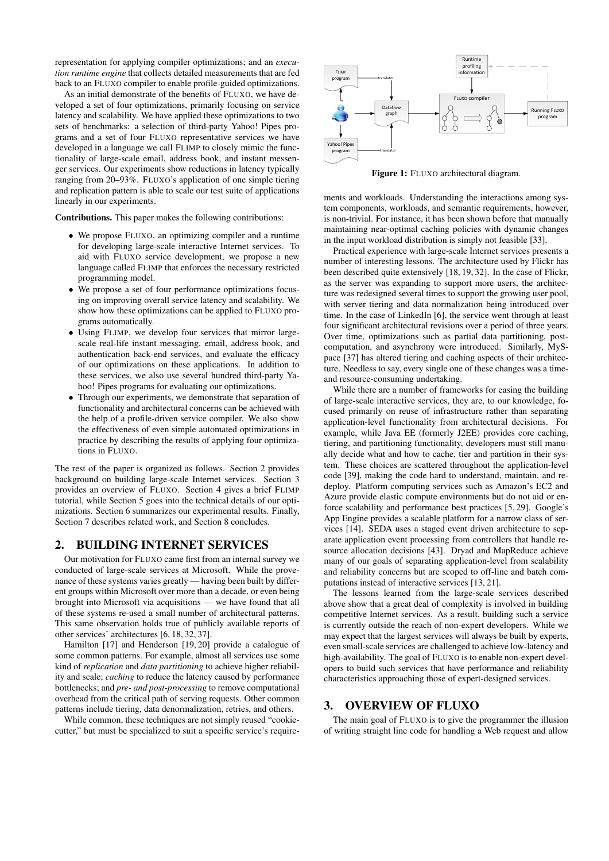representation for applying compiler optimizations; and an *execution runtime engine* that collects detailed measurements that are fed back to an FLUXO compiler to enable profile-guided optimizations.

As an initial demonstrate of the benefits of FLUXO, we have developed a set of four optimizations, primarily focusing on service latency and scalability. We have applied these optimizations to two sets of benchmarks: a selection of third-party Yahoo! Pipes programs and a set of four FLUXO representative services we have developed in a language we call FLIMP to closely mimic the functionality of large-scale email, address book, and instant messenger services. Our experiments show reductions in latency typically ranging from 20–93%. FLUXO's application of one simple tiering and replication pattern is able to scale our test suite of applications linearly in our experiments.

Contributions. This paper makes the following contributions:

- We propose FLUXO, an optimizing compiler and a runtime for developing large-scale interactive Internet services. To aid with FLUXO service development, we propose a new language called FLIMP that enforces the necessary restricted programming model.
- We propose a set of four performance optimizations focusing on improving overall service latency and scalability. We show how these optimizations can be applied to FLUXO programs automatically.
- Using FLIMP, we develop four services that mirror largescale real-life instant messaging, email, address book, and authentication back-end services, and evaluate the efficacy of our optimizations on these applications. In addition to these services, we also use several hundred third-party Yahoo! Pipes programs for evaluating our optimizations.
- Through our experiments, we demonstrate that separation of functionality and architectural concerns can be achieved with the help of a profile-driven service compiler. We also show the effectiveness of even simple automated optimizations in practice by describing the results of applying four optimizations in FLUXO.

The rest of the paper is organized as follows. Section 2 provides background on building large-scale Internet services. Section 3 provides an overview of FLUXO. Section 4 gives a brief FLIMP tutorial, while Section 5 goes into the technical details of our optimizations. Section 6 summarizes our experimental results. Finally, Section 7 describes related work, and Section 8 concludes.

### 2. BUILDING INTERNET SERVICES

Our motivation for FLUXO came first from an internal survey we conducted of large-scale services at Microsoft. While the provenance of these systems varies greatly — having been built by different groups within Microsoft over more than a decade, or even being brought into Microsoft via acquisitions — we have found that all of these systems re-used a small number of architectural patterns. This same observation holds true of publicly available reports of other services' architectures [6, 18, 32, 37].

Hamilton [17] and Henderson [19, 20] provide a catalogue of some common patterns. For example, almost all services use some kind of *replication* and *data partitioning* to achieve higher reliability and scale; *caching* to reduce the latency caused by performance bottlenecks; and *pre- and post-processing* to remove computational overhead from the critical path of serving requests. Other common patterns include tiering, data denormalization, retries, and others.

While common, these techniques are not simply reused "cookiecutter," but must be specialized to suit a specific service's require-



Figure 1: FLUXO architectural diagram.

ments and workloads. Understanding the interactions among system components, workloads, and semantic requirements, however, is non-trivial. For instance, it has been shown before that manually maintaining near-optimal caching policies with dynamic changes in the input workload distribution is simply not feasible [33].

Practical experience with large-scale Internet services presents a number of interesting lessons. The architecture used by Flickr has been described quite extensively [18, 19, 32]. In the case of Flickr, as the server was expanding to support more users, the architecture was redesigned several times to support the growing user pool, with server tiering and data normalization being introduced over time. In the case of LinkedIn [6], the service went through at least four significant architectural revisions over a period of three years. Over time, optimizations such as partial data partitioning, postcomputation, and asynchrony were introduced. Similarly, MySpace [37] has altered tiering and caching aspects of their architecture. Needless to say, every single one of these changes was a timeand resource-consuming undertaking.

While there are a number of frameworks for easing the building of large-scale interactive services, they are, to our knowledge, focused primarily on reuse of infrastructure rather than separating application-level functionality from architectural decisions. For example, while Java EE (formerly J2EE) provides core caching, tiering, and partitioning functionality, developers must still manually decide what and how to cache, tier and partition in their system. These choices are scattered throughout the application-level code [39], making the code hard to understand, maintain, and redeploy. Platform computing services such as Amazon's EC2 and Azure provide elastic compute environments but do not aid or enforce scalability and performance best practices [5, 29]. Google's App Engine provides a scalable platform for a narrow class of services [14]. SEDA uses a staged event driven architecture to separate application event processing from controllers that handle resource allocation decisions [43]. Dryad and MapReduce achieve many of our goals of separating application-level from scalability and reliability concerns but are scoped to off-line and batch computations instead of interactive services [13, 21].

The lessons learned from the large-scale services described above show that a great deal of complexity is involved in building competitive Internet services. As a result, building such a service is currently outside the reach of non-expert developers. While we may expect that the largest services will always be built by experts, even small-scale services are challenged to achieve low-latency and high-availability. The goal of FLUXO is to enable non-expert developers to build such services that have performance and reliability characteristics approaching those of expert-designed services.

### 3. OVERVIEW OF FLUXO

The main goal of FLUXO is to give the programmer the illusion of writing straight line code for handling a Web request and allow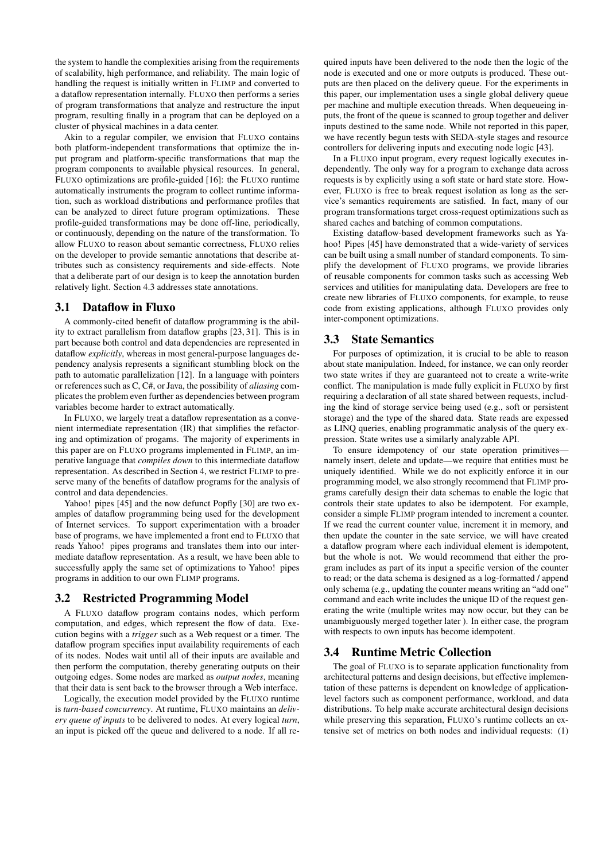the system to handle the complexities arising from the requirements of scalability, high performance, and reliability. The main logic of handling the request is initially written in FLIMP and converted to a dataflow representation internally. FLUXO then performs a series of program transformations that analyze and restructure the input program, resulting finally in a program that can be deployed on a cluster of physical machines in a data center.

Akin to a regular compiler, we envision that FLUXO contains both platform-independent transformations that optimize the input program and platform-specific transformations that map the program components to available physical resources. In general, FLUXO optimizations are profile-guided [16]: the FLUXO runtime automatically instruments the program to collect runtime information, such as workload distributions and performance profiles that can be analyzed to direct future program optimizations. These profile-guided transformations may be done off-line, periodically, or continuously, depending on the nature of the transformation. To allow FLUXO to reason about semantic correctness, FLUXO relies on the developer to provide semantic annotations that describe attributes such as consistency requirements and side-effects. Note that a deliberate part of our design is to keep the annotation burden relatively light. Section 4.3 addresses state annotations.

### 3.1 Dataflow in Fluxo

A commonly-cited benefit of dataflow programming is the ability to extract parallelism from dataflow graphs [23, 31]. This is in part because both control and data dependencies are represented in dataflow *explicitly*, whereas in most general-purpose languages dependency analysis represents a significant stumbling block on the path to automatic parallelization [12]. In a language with pointers or references such as C, C#, or Java, the possibility of *aliasing* complicates the problem even further as dependencies between program variables become harder to extract automatically.

In FLUXO, we largely treat a dataflow representation as a convenient intermediate representation (IR) that simplifies the refactoring and optimization of progams. The majority of experiments in this paper are on FLUXO programs implemented in FLIMP, an imperative language that *compiles down* to this intermediate dataflow representation. As described in Section 4, we restrict FLIMP to preserve many of the benefits of dataflow programs for the analysis of control and data dependencies.

Yahoo! pipes [45] and the now defunct Popfly [30] are two examples of dataflow programming being used for the development of Internet services. To support experimentation with a broader base of programs, we have implemented a front end to FLUXO that reads Yahoo! pipes programs and translates them into our intermediate dataflow representation. As a result, we have been able to successfully apply the same set of optimizations to Yahoo! pipes programs in addition to our own FLIMP programs.

# 3.2 Restricted Programming Model

A FLUXO dataflow program contains nodes, which perform computation, and edges, which represent the flow of data. Execution begins with a *trigger* such as a Web request or a timer. The dataflow program specifies input availability requirements of each of its nodes. Nodes wait until all of their inputs are available and then perform the computation, thereby generating outputs on their outgoing edges. Some nodes are marked as *output nodes*, meaning that their data is sent back to the browser through a Web interface.

Logically, the execution model provided by the FLUXO runtime is *turn-based concurrency*. At runtime, FLUXO maintains an *delivery queue of inputs* to be delivered to nodes. At every logical *turn*, an input is picked off the queue and delivered to a node. If all re-

quired inputs have been delivered to the node then the logic of the node is executed and one or more outputs is produced. These outputs are then placed on the delivery queue. For the experiments in this paper, our implementation uses a single global delivery queue per machine and multiple execution threads. When dequeueing inputs, the front of the queue is scanned to group together and deliver inputs destined to the same node. While not reported in this paper, we have recently begun tests with SEDA-style stages and resource controllers for delivering inputs and executing node logic [43].

In a FLUXO input program, every request logically executes independently. The only way for a program to exchange data across requests is by explicitly using a soft state or hard state store. However, FLUXO is free to break request isolation as long as the service's semantics requirements are satisfied. In fact, many of our program transformations target cross-request optimizations such as shared caches and batching of common computations.

Existing dataflow-based development frameworks such as Yahoo! Pipes [45] have demonstrated that a wide-variety of services can be built using a small number of standard components. To simplify the development of FLUXO programs, we provide libraries of reusable components for common tasks such as accessing Web services and utilities for manipulating data. Developers are free to create new libraries of FLUXO components, for example, to reuse code from existing applications, although FLUXO provides only inter-component optimizations.

### 3.3 State Semantics

For purposes of optimization, it is crucial to be able to reason about state manipulation. Indeed, for instance, we can only reorder two state writes if they are guaranteed not to create a write-write conflict. The manipulation is made fully explicit in FLUXO by first requiring a declaration of all state shared between requests, including the kind of storage service being used (e.g., soft or persistent storage) and the type of the shared data. State reads are expessed as LINQ queries, enabling programmatic analysis of the query expression. State writes use a similarly analyzable API.

To ensure idempotency of our state operation primitives namely insert, delete and update—we require that entities must be uniquely identified. While we do not explicitly enforce it in our programming model, we also strongly recommend that FLIMP programs carefully design their data schemas to enable the logic that controls their state updates to also be idempotent. For example, consider a simple FLIMP program intended to increment a counter. If we read the current counter value, increment it in memory, and then update the counter in the sate service, we will have created a dataflow program where each individual element is idempotent, but the whole is not. We would recommend that either the program includes as part of its input a specific version of the counter to read; or the data schema is designed as a log-formatted / append only schema (e.g., updating the counter means writing an "add one" command and each write includes the unique ID of the request generating the write (multiple writes may now occur, but they can be unambiguously merged together later ). In either case, the program with respects to own inputs has become idempotent.

# 3.4 Runtime Metric Collection

The goal of FLUXO is to separate application functionality from architectural patterns and design decisions, but effective implementation of these patterns is dependent on knowledge of applicationlevel factors such as component performance, workload, and data distributions. To help make accurate architectural design decisions while preserving this separation, FLUXO's runtime collects an extensive set of metrics on both nodes and individual requests: (1)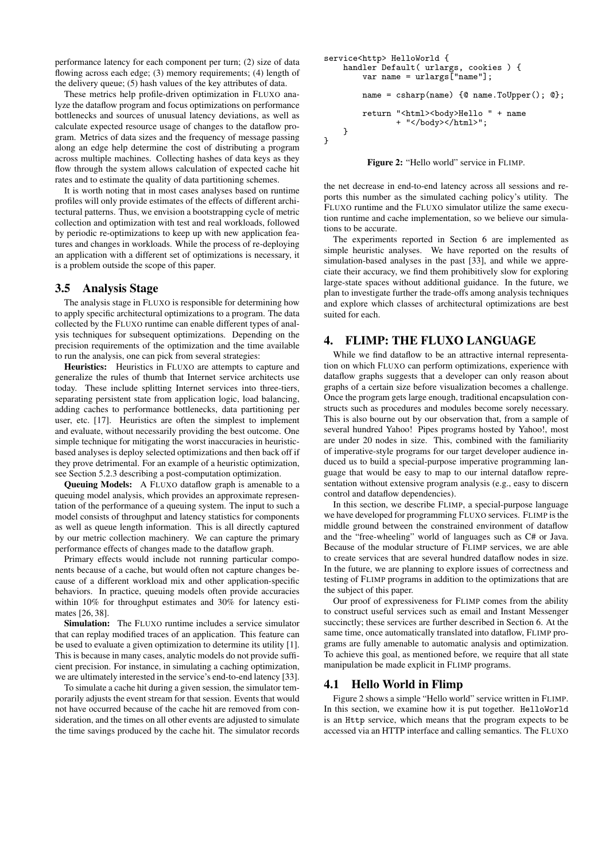performance latency for each component per turn; (2) size of data flowing across each edge; (3) memory requirements; (4) length of the delivery queue; (5) hash values of the key attributes of data.

These metrics help profile-driven optimization in FLUXO analyze the dataflow program and focus optimizations on performance bottlenecks and sources of unusual latency deviations, as well as calculate expected resource usage of changes to the dataflow program. Metrics of data sizes and the frequency of message passing along an edge help determine the cost of distributing a program across multiple machines. Collecting hashes of data keys as they flow through the system allows calculation of expected cache hit rates and to estimate the quality of data partitioning schemes.

It is worth noting that in most cases analyses based on runtime profiles will only provide estimates of the effects of different architectural patterns. Thus, we envision a bootstrapping cycle of metric collection and optimization with test and real workloads, followed by periodic re-optimizations to keep up with new application features and changes in workloads. While the process of re-deploying an application with a different set of optimizations is necessary, it is a problem outside the scope of this paper.

# 3.5 Analysis Stage

The analysis stage in FLUXO is responsible for determining how to apply specific architectural optimizations to a program. The data collected by the FLUXO runtime can enable different types of analysis techniques for subsequent optimizations. Depending on the precision requirements of the optimization and the time available to run the analysis, one can pick from several strategies:

Heuristics: Heuristics in FLUXO are attempts to capture and generalize the rules of thumb that Internet service architects use today. These include splitting Internet services into three-tiers, separating persistent state from application logic, load balancing, adding caches to performance bottlenecks, data partitioning per user, etc. [17]. Heuristics are often the simplest to implement and evaluate, without necessarily providing the best outcome. One simple technique for mitigating the worst inaccuracies in heuristicbased analyses is deploy selected optimizations and then back off if they prove detrimental. For an example of a heuristic optimization, see Section 5.2.3 describing a post-computation optimization.

Queuing Models: A FLUXO dataflow graph is amenable to a queuing model analysis, which provides an approximate representation of the performance of a queuing system. The input to such a model consists of throughput and latency statistics for components as well as queue length information. This is all directly captured by our metric collection machinery. We can capture the primary performance effects of changes made to the dataflow graph.

Primary effects would include not running particular components because of a cache, but would often not capture changes because of a different workload mix and other application-specific behaviors. In practice, queuing models often provide accuracies within 10% for throughput estimates and 30% for latency estimates [26, 38].

Simulation: The FLUXO runtime includes a service simulator that can replay modified traces of an application. This feature can be used to evaluate a given optimization to determine its utility [1]. This is because in many cases, analytic models do not provide sufficient precision. For instance, in simulating a caching optimization, we are ultimately interested in the service's end-to-end latency [33].

To simulate a cache hit during a given session, the simulator temporarily adjusts the event stream for that session. Events that would not have occurred because of the cache hit are removed from consideration, and the times on all other events are adjusted to simulate the time savings produced by the cache hit. The simulator records

```
service<http> HelloWorld {
    handler Default( urlargs, cookies ) {
        var name = urlargs["name"];
        name = csharp(name) {@ name.ToUpper(); @};
        return "<html><br/>>body>Hello " + name
               + "</body></html>";
    }
}
```
Figure 2: "Hello world" service in FLIMP.

the net decrease in end-to-end latency across all sessions and reports this number as the simulated caching policy's utility. The FLUXO runtime and the FLUXO simulator utilize the same execution runtime and cache implementation, so we believe our simulations to be accurate.

The experiments reported in Section 6 are implemented as simple heuristic analyses. We have reported on the results of simulation-based analyses in the past [33], and while we appreciate their accuracy, we find them prohibitively slow for exploring large-state spaces without additional guidance. In the future, we plan to investigate further the trade-offs among analysis techniques and explore which classes of architectural optimizations are best suited for each.

# 4. FLIMP: THE FLUXO LANGUAGE

While we find dataflow to be an attractive internal representation on which FLUXO can perform optimizations, experience with dataflow graphs suggests that a developer can only reason about graphs of a certain size before visualization becomes a challenge. Once the program gets large enough, traditional encapsulation constructs such as procedures and modules become sorely necessary. This is also bourne out by our observation that, from a sample of several hundred Yahoo! Pipes programs hosted by Yahoo!, most are under 20 nodes in size. This, combined with the familiarity of imperative-style programs for our target developer audience induced us to build a special-purpose imperative programming language that would be easy to map to our internal dataflow representation without extensive program analysis (e.g., easy to discern control and dataflow dependencies).

In this section, we describe FLIMP, a special-purpose language we have developed for programming FLUXO services. FLIMP is the middle ground between the constrained environment of dataflow and the "free-wheeling" world of languages such as C# or Java. Because of the modular structure of FLIMP services, we are able to create services that are several hundred dataflow nodes in size. In the future, we are planning to explore issues of correctness and testing of FLIMP programs in addition to the optimizations that are the subject of this paper.

Our proof of expressiveness for FLIMP comes from the ability to construct useful services such as email and Instant Messenger succinctly; these services are further described in Section 6. At the same time, once automatically translated into dataflow, FLIMP programs are fully amenable to automatic analysis and optimization. To achieve this goal, as mentioned before, we require that all state manipulation be made explicit in FLIMP programs.

### 4.1 Hello World in Flimp

Figure 2 shows a simple "Hello world" service written in FLIMP. In this section, we examine how it is put together. HelloWorld is an Http service, which means that the program expects to be accessed via an HTTP interface and calling semantics. The FLUXO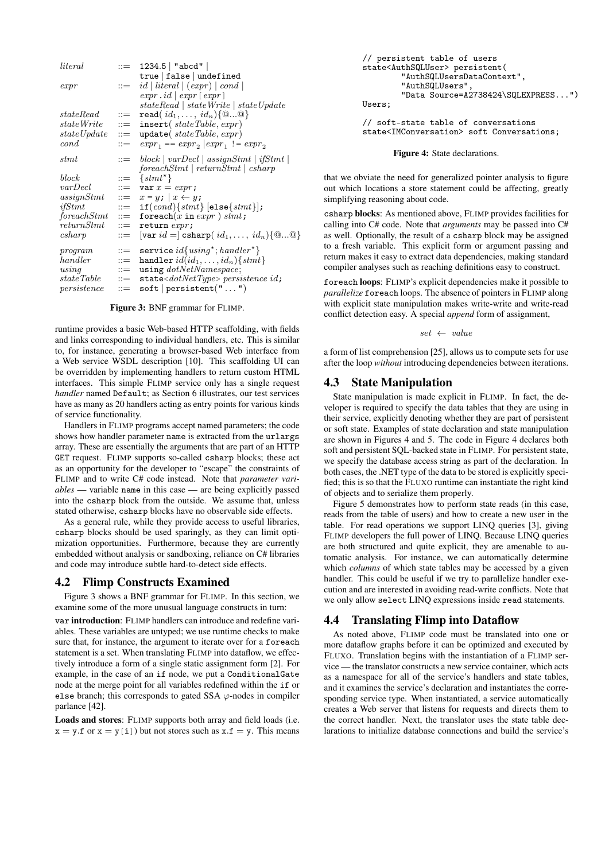| $\it literal$   |                       | ::= 1234.5   "abcd"                                                                      |
|-----------------|-----------------------|------------------------------------------------------------------------------------------|
|                 |                       | true   false   undefined                                                                 |
| expr            | $\mathrel{\mathop:}=$ | $id \mid literal \mid (expr) \mid cond \mid$                                             |
|                 |                       | expr.id   expr [expr]                                                                    |
|                 |                       | stateRead   stateWrite   stateUpdate                                                     |
| stateRead       | $\mathbf{m}$          | $\texttt{read}(\textit{id}_1, \ldots, \textit{id}_n) \{\textcircled{a}\textcircled{b}\}$ |
| stateWrite      | $\mathrel{\mathop:}=$ | insert( <b>state</b> Table, expr)                                                        |
| stateUpdate     |                       | $ ::=$ update( <i>stateTable, expr</i> )                                                 |
| $\mathit{cond}$ | $\mathbf{m}$          | $expr_1 == expr_2   expr_1 != expr_2$                                                    |
| $_{stmt}$       |                       | $\therefore = \text{block} \mid \text{var}$                                              |
|                 |                       | $fore a ch Stm t$   $return Stm t$   $c shar p$                                          |
| block           | $\equiv$              | $\{stmt^*\}$                                                                             |
| varDecl         |                       | $ ::= \text{var } x = expr;$                                                             |
| assignStmt      |                       | $\therefore$ $x = y;   x \leftarrow y;$                                                  |
| ifStmt          |                       | $ ::= \text{if}(cond)\{stmt\} [\text{else}\{stmt\}];$                                    |
| fore a ch Stm t |                       | $ ::=$ foreach(x in expr) stmt;                                                          |
| return Stmt     | $\mathbf{r} = -$      | $return \text{ } expr;$                                                                  |
| csharp          | $::=$                 | $ \text{var }id= \text{csharp}(id_1,\ldots, id_n) \mathbb{Q}\mathbb{Q}\}\$               |
| program         | $\mathrel{\mathop:}=$ | service $id{using^{\star}}; handler^{\star}$                                             |
| handler         | $\mathbf{m}$          | handler $id(id_1, \ldots, id_n)\$ { stmt }                                               |
| using           | $\mathrel{\mathop:}=$ | using $dotNetName space;$                                                                |
| stateTable      |                       | $\therefore$ state <dotnettype> persistence id;</dotnettype>                             |
| persistence     | $::=$                 | soft   persistent("")                                                                    |
|                 |                       |                                                                                          |

Figure 3: BNF grammar for FLIMP.

runtime provides a basic Web-based HTTP scaffolding, with fields and links corresponding to individual handlers, etc. This is similar to, for instance, generating a browser-based Web interface from a Web service WSDL description [10]. This scaffolding UI can be overridden by implementing handlers to return custom HTML interfaces. This simple FLIMP service only has a single request *handler* named Default; as Section 6 illustrates, our test services have as many as 20 handlers acting as entry points for various kinds of service functionality.

Handlers in FLIMP programs accept named parameters; the code shows how handler parameter name is extracted from the urlargs array. These are essentially the arguments that are part of an HTTP GET request. FLIMP supports so-called csharp blocks; these act as an opportunity for the developer to "escape" the constraints of FLIMP and to write C# code instead. Note that *parameter variables* — variable name in this case — are being explicitly passed into the csharp block from the outside. We assume that, unless stated otherwise, csharp blocks have no observable side effects.

As a general rule, while they provide access to useful libraries, csharp blocks should be used sparingly, as they can limit optimization opportunities. Furthermore, because they are currently embedded without analysis or sandboxing, reliance on C# libraries and code may introduce subtle hard-to-detect side effects.

### 4.2 Flimp Constructs Examined

Figure 3 shows a BNF grammar for FLIMP. In this section, we examine some of the more unusual language constructs in turn:

var introduction: FLIMP handlers can introduce and redefine variables. These variables are untyped; we use runtime checks to make sure that, for instance, the argument to iterate over for a foreach statement is a set. When translating FLIMP into dataflow, we effectively introduce a form of a single static assignment form [2]. For example, in the case of an if node, we put a ConditionalGate node at the merge point for all variables redefined within the if or else branch; this corresponds to gated SSA  $\varphi$ -nodes in compiler parlance [42].

Loads and stores: FLIMP supports both array and field loads (i.e.  $x = y.f$  or  $x = y[i]$  but not stores such as  $x.f = y$ . This means

```
// persistent table of users
state<AuthSQLUser> persistent(
        "AuthSQLUsersDataContext",
        "AuthSQLUsers",
        "Data Source=A2738424\SQLEXPRESS...")
Users;
```
// soft-state table of conversations state<IMConversation> soft Conversations;

Figure 4: State declarations.

that we obviate the need for generalized pointer analysis to figure out which locations a store statement could be affecting, greatly simplifying reasoning about code.

csharp blocks: As mentioned above, FLIMP provides facilities for calling into C# code. Note that *arguments* may be passed into C# as well. Optionally, the result of a csharp block may be assigned to a fresh variable. This explicit form or argument passing and return makes it easy to extract data dependencies, making standard compiler analyses such as reaching definitions easy to construct.

foreach loops: FLIMP's explicit dependencies make it possible to *parallelize* foreach loops. The absence of pointers in FLIMP along with explicit state manipulation makes write-write and write-read conflict detection easy. A special *append* form of assignment,

 $set \leftarrow value$ 

a form of list comprehension [25], allows us to compute sets for use after the loop *without* introducing dependencies between iterations.

### 4.3 State Manipulation

State manipulation is made explicit in FLIMP. In fact, the developer is required to specify the data tables that they are using in their service, explicitly denoting whether they are part of persistent or soft state. Examples of state declaration and state manipulation are shown in Figures 4 and 5. The code in Figure 4 declares both soft and persistent SQL-backed state in FLIMP. For persistent state, we specify the database access string as part of the declaration. In both cases, the .NET type of the data to be stored is explicitly specified; this is so that the FLUXO runtime can instantiate the right kind of objects and to serialize them properly.

Figure 5 demonstrates how to perform state reads (in this case, reads from the table of users) and how to create a new user in the table. For read operations we support LINQ queries [3], giving FLIMP developers the full power of LINQ. Because LINQ queries are both structured and quite explicit, they are amenable to automatic analysis. For instance, we can automatically determine which *columns* of which state tables may be accessed by a given handler. This could be useful if we try to parallelize handler execution and are interested in avoiding read-write conflicts. Note that we only allow select LINQ expressions inside read statements.

### 4.4 Translating Flimp into Dataflow

As noted above, FLIMP code must be translated into one or more dataflow graphs before it can be optimized and executed by FLUXO. Translation begins with the instantiation of a FLIMP service — the translator constructs a new service container, which acts as a namespace for all of the service's handlers and state tables, and it examines the service's declaration and instantiates the corresponding service type. When instantiated, a service automatically creates a Web server that listens for requests and directs them to the correct handler. Next, the translator uses the state table declarations to initialize database connections and build the service's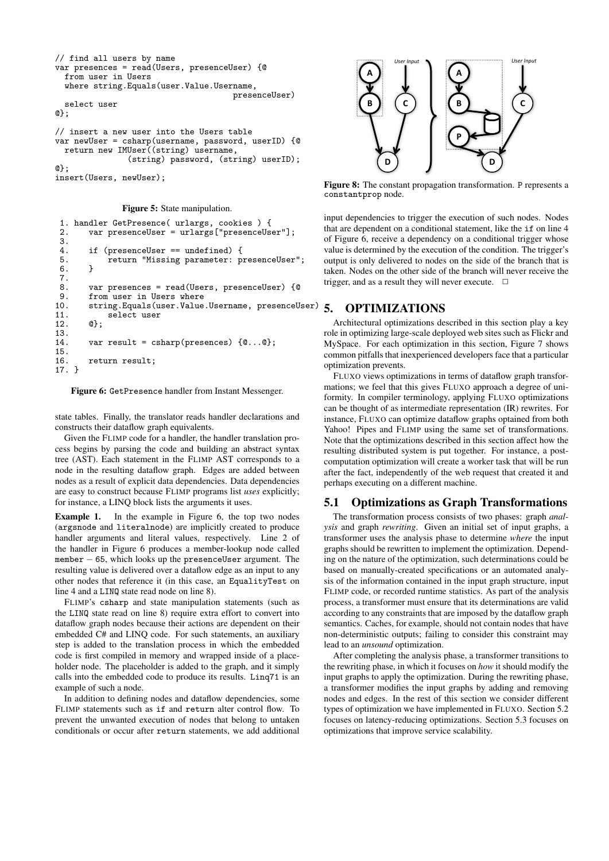```
// find all users by name
var presences = read(Users, presenceUser) {@
 from user in Users
 where string.Equals(user.Value.Username,
                                     presenceUser)
 select user
@};
// insert a new user into the Users table
var newUser = csharp(username, password, userID) {@
 return new IMUser((string) username,
               (string) password, (string) userID);
@};
```
insert(Users, newUser);

#### Figure 5: State manipulation.

```
1. handler GetPresence( urlargs, cookies ) {<br>2. var presenceUser = urlargs["presenceUs
           2. var presenceUser = urlargs["presenceUser"];
 3.4.4. if (presenceUser == undefined) {
 5. return "Missing parameter: presenceUser";<br>6. }
 6. }
 \begin{array}{c} 7.8 \ 8. \end{array}8. var presences = read(Users, presenceUser) {@
9. from user in Users where<br>10. string Equals (user Value
10. string.Equals(user.Value.Username, presenceUser)<br>11. select user
           select user<br>©};
12.
13.14.var result = csharp(presences) {0...0};
15.16.return result;
17. }
Conditional the metric is the set of the set of the set of the set of the set of the set of the set of the set of the set of the set of the set of the set of the set of the set of the set of the set of the set of the set
```
Figure 6: GetPresence handler from Instant Messenger.

state tables. Finally, the translator reads handler declarations and constructs their dataflow graph equivalents.

Given the FLIMP code for a handler, the handler translation process begins by parsing the code and building an abstract syntax tree (AST). Each statement in the FLIMP AST corresponds to a node in the resulting dataflow graph. Edges are added between nodes as a result of explicit data dependencies. Data dependencies are easy to construct because FLIMP programs list *uses* explicitly; for instance, a LINQ block lists the arguments it uses.

Example 1. In the example in Figure 6, the top two nodes (argsnode and literalnode) are implicitly created to produce handler arguments and literal values, respectively. Line 2 of the handler in Figure 6 produces a member-lookup node called member  $-65$ , which looks up the presenceUser argument. The resulting value is delivered over a dataflow edge as an input to any other nodes that reference it (in this case, an EqualityTest on line 4 and a LINQ state read node on line 8).

FLIMP's csharp and state manipulation statements (such as the LINQ state read on line 8) require extra effort to convert into dataflow graph nodes because their actions are dependent on their embedded C# and LINQ code. For such statements, an auxiliary step is added to the translation process in which the embedded code is first compiled in memory and wrapped inside of a placeholder node. The placeholder is added to the graph, and it simply calls into the embedded code to produce its results. Linq71 is an example of such a node.

In addition to defining nodes and dataflow dependencies, some FLIMP statements such as if and return alter control flow. To prevent the unwanted execution of nodes that belong to untaken



Figure 8: The constant propagation transformation. P represents a constantprop node.

input dependencies to trigger the execution of such nodes. Nodes that are dependent on a conditional statement, like the if on line 4 of Figure 6, receive a dependency on a conditional trigger whose value is determined by the execution of the condition. The trigger's output is only delivered to nodes on the side of the branch that is taken. Nodes on the other side of the branch will never receive the trigger, and as a result they will never execute.  $\Box$ 

# 5. OPTIMIZATIONS

Architectural optimizations described in this section play a key role in optimizing large-scale deployed web sites such as Flickr and MySpace. For each optimization in this section, Figure 7 shows common pitfalls that inexperienced developers face that a particular optimization prevents.

FLUXO views optimizations in terms of dataflow graph transformations; we feel that this gives FLUXO approach a degree of uniformity. In compiler terminology, applying FLUXO optimizations can be thought of as intermediate representation (IR) rewrites. For instance, FLUXO can optimize dataflow graphs optained from both Yahoo! Pipes and FLIMP using the same set of transformations. Note that the optimizations described in this section affect how the resulting distributed system is put together. For instance, a postcomputation optimization will create a worker task that will be run after the fact, independently of the web request that created it and perhaps executing on a different machine.

### 5.1 Optimizations as Graph Transformations

The transformation process consists of two phases: graph *analysis* and graph *rewriting*. Given an initial set of input graphs, a transformer uses the analysis phase to determine *where* the input graphs should be rewritten to implement the optimization. Depending on the nature of the optimization, such determinations could be based on manually-created specifications or an automated analysis of the information contained in the input graph structure, input FLIMP code, or recorded runtime statistics. As part of the analysis process, a transformer must ensure that its determinations are valid according to any constraints that are imposed by the dataflow graph semantics. Caches, for example, should not contain nodes that have non-deterministic outputs; failing to consider this constraint may lead to an *unsound* optimization.

After completing the analysis phase, a transformer transitions to the rewriting phase, in which it focuses on *how* it should modify the input graphs to apply the optimization. During the rewriting phase, a transformer modifies the input graphs by adding and removing nodes and edges. In the rest of this section we consider different types of optimization we have implemented in FLUXO. Section 5.2 focuses on latency-reducing optimizations. Section 5.3 focuses on optimizations that improve service scalability.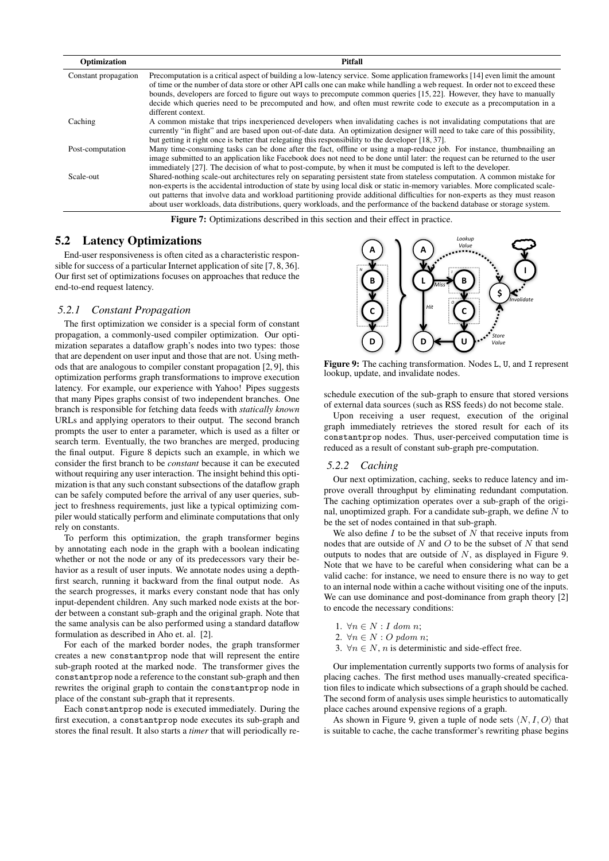| Optimization         | Pitfall                                                                                                                                                                                                                                                                                                                                                                                                                                                                                                                                 |
|----------------------|-----------------------------------------------------------------------------------------------------------------------------------------------------------------------------------------------------------------------------------------------------------------------------------------------------------------------------------------------------------------------------------------------------------------------------------------------------------------------------------------------------------------------------------------|
| Constant propagation | Precomputation is a critical aspect of building a low-latency service. Some application frameworks [14] even limit the amount<br>of time or the number of data store or other API calls one can make while handling a web request. In order not to exceed these<br>bounds, developers are forced to figure out ways to precompute common queries [15, 22]. However, they have to manually<br>decide which queries need to be precomputed and how, and often must rewrite code to execute as a precomputation in a<br>different context. |
| Caching              | A common mistake that trips inexperienced developers when invalidating caches is not invalidating computations that are<br>currently "in flight" and are based upon out-of-date data. An optimization designer will need to take care of this possibility,<br>but getting it right once is better that relegating this responsibility to the developer [18, 37].                                                                                                                                                                        |
| Post-computation     | Many time-consuming tasks can be done after the fact, offline or using a map-reduce job. For instance, thumbnailing an<br>image submitted to an application like Facebook does not need to be done until later: the request can be returned to the user<br>immediately [27]. The decision of what to post-compute, by when it must be computed is left to the developer.                                                                                                                                                                |
| Scale-out            | Shared-nothing scale-out architectures rely on separating persistent state from stateless computation. A common mistake for<br>non-experts is the accidental introduction of state by using local disk or static in-memory variables. More complicated scale-<br>out patterns that involve data and workload partitioning provide additional difficulties for non-experts as they must reason<br>about user workloads, data distributions, query workloads, and the performance of the backend database or storage system.              |

Figure 7: Optimizations described in this section and their effect in practice.

# 5.2 Latency Optimizations

End-user responsiveness is often cited as a characteristic responsible for success of a particular Internet application of site [7, 8, 36]. Our first set of optimizations focuses on approaches that reduce the end-to-end request latency.

### *5.2.1 Constant Propagation*

The first optimization we consider is a special form of constant propagation, a commonly-used compiler optimization. Our optimization separates a dataflow graph's nodes into two types: those that are dependent on user input and those that are not. Using methods that are analogous to compiler constant propagation [2, 9], this optimization performs graph transformations to improve execution latency. For example, our experience with Yahoo! Pipes suggests that many Pipes graphs consist of two independent branches. One branch is responsible for fetching data feeds with *statically known* URLs and applying operators to their output. The second branch prompts the user to enter a parameter, which is used as a filter or search term. Eventually, the two branches are merged, producing the final output. Figure 8 depicts such an example, in which we consider the first branch to be *constant* because it can be executed without requiring any user interaction. The insight behind this optimization is that any such constant subsections of the dataflow graph can be safely computed before the arrival of any user queries, subject to freshness requirements, just like a typical optimizing compiler would statically perform and eliminate computations that only rely on constants. End user responsiveness is often cited as a characteristic respon-<br>Sible for successo of a particular internet application of site  $\chi$ , 8.56).<br>Our first set of optimizations focuses on approaches that reduce the<br>end-o-en

To perform this optimization, the graph transformer begins by annotating each node in the graph with a boolean indicating whether or not the node or any of its predecessors vary their behavior as a result of user inputs. We annotate nodes using a depthfirst search, running it backward from the final output node. As the search progresses, it marks every constant node that has only input-dependent children. Any such marked node exists at the border between a constant sub-graph and the original graph. Note that the same analysis can be also performed using a standard dataflow formulation as described in Aho et. al. [2].

For each of the marked border nodes, the graph transformer creates a new constantprop node that will represent the entire sub-graph rooted at the marked node. The transformer gives the constantprop node a reference to the constant sub-graph and then rewrites the original graph to contain the constantprop node in place of the constant sub-graph that it represents.

Each constantprop node is executed immediately. During the first execution, a constantprop node executes its sub-graph and



Figure 9: The caching transformation. Nodes L, U, and I represent lookup, update, and invalidate nodes.

schedule execution of the sub-graph to ensure that stored versions of external data sources (such as RSS feeds) do not become stale.

Upon receiving a user request, execution of the original graph immediately retrieves the stored result for each of its constantprop nodes. Thus, user-perceived computation time is reduced as a result of constant sub-graph pre-computation.

### *5.2.2 Caching*

Our next optimization, caching, seeks to reduce latency and improve overall throughput by eliminating redundant computation. The caching optimization operates over a sub-graph of the original, unoptimized graph. For a candidate sub-graph, we define  $N$  to be the set of nodes contained in that sub-graph.

We also define  $I$  to be the subset of  $N$  that receive inputs from nodes that are outside of N and O to be the subset of  $N$  that send outputs to nodes that are outside of  $N$ , as displayed in Figure 9. Note that we have to be careful when considering what can be a valid cache: for instance, we need to ensure there is no way to get to an internal node within a cache without visiting one of the inputs. We can use dominance and post-dominance from graph theory [2] to encode the necessary conditions:

- 1.  $\forall n \in N : I \text{ dom } n;$
- 2.  $\forall n \in N : O~\mathit{pdom}~n;$
- 3.  $\forall n \in N$ , *n* is deterministic and side-effect free.

Our implementation currently supports two forms of analysis for placing caches. The first method uses manually-created specification files to indicate which subsections of a graph should be cached. The second form of analysis uses simple heuristics to automatically place caches around expensive regions of a graph.

As shown in Figure 9, given a tuple of node sets  $\langle N, I, O \rangle$  that is suitable to cache, the cache transformer's rewriting phase begins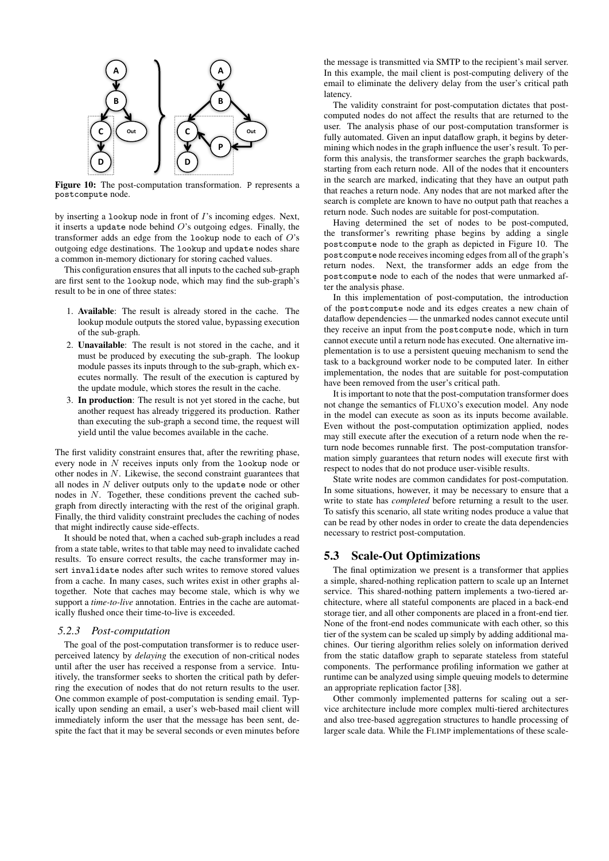

Figure 10: The post-computation transformation. P represents a postcompute node.

by inserting a lookup node in front of I's incoming edges. Next, it inserts a update node behind  $O$ 's outgoing edges. Finally, the transformer adds an edge from the lookup node to each of  $O$ 's outgoing edge destinations. The lookup and update nodes share a common in-memory dictionary for storing cached values.

This configuration ensures that all inputs to the cached sub-graph are first sent to the lookup node, which may find the sub-graph's result to be in one of three states:

- 1. Available: The result is already stored in the cache. The lookup module outputs the stored value, bypassing execution of the sub-graph.
- 2. Unavailable: The result is not stored in the cache, and it must be produced by executing the sub-graph. The lookup module passes its inputs through to the sub-graph, which executes normally. The result of the execution is captured by the update module, which stores the result in the cache.
- 3. In production: The result is not yet stored in the cache, but another request has already triggered its production. Rather than executing the sub-graph a second time, the request will yield until the value becomes available in the cache.

The first validity constraint ensures that, after the rewriting phase, every node in N receives inputs only from the lookup node or other nodes in  $N$ . Likewise, the second constraint guarantees that all nodes in  $N$  deliver outputs only to the update node or other nodes in N. Together, these conditions prevent the cached subgraph from directly interacting with the rest of the original graph. Finally, the third validity constraint precludes the caching of nodes that might indirectly cause side-effects.

It should be noted that, when a cached sub-graph includes a read from a state table, writes to that table may need to invalidate cached results. To ensure correct results, the cache transformer may insert invalidate nodes after such writes to remove stored values from a cache. In many cases, such writes exist in other graphs altogether. Note that caches may become stale, which is why we support a *time-to-live* annotation. Entries in the cache are automatically flushed once their time-to-live is exceeded.

#### *5.2.3 Post-computation*

The goal of the post-computation transformer is to reduce userperceived latency by *delaying* the execution of non-critical nodes until after the user has received a response from a service. Intuitively, the transformer seeks to shorten the critical path by deferring the execution of nodes that do not return results to the user. One common example of post-computation is sending email. Typically upon sending an email, a user's web-based mail client will immediately inform the user that the message has been sent, despite the fact that it may be several seconds or even minutes before

the message is transmitted via SMTP to the recipient's mail server. In this example, the mail client is post-computing delivery of the email to eliminate the delivery delay from the user's critical path latency.

The validity constraint for post-computation dictates that postcomputed nodes do not affect the results that are returned to the user. The analysis phase of our post-computation transformer is fully automated. Given an input dataflow graph, it begins by determining which nodes in the graph influence the user's result. To perform this analysis, the transformer searches the graph backwards, starting from each return node. All of the nodes that it encounters in the search are marked, indicating that they have an output path that reaches a return node. Any nodes that are not marked after the search is complete are known to have no output path that reaches a return node. Such nodes are suitable for post-computation.

Having determined the set of nodes to be post-computed, the transformer's rewriting phase begins by adding a single postcompute node to the graph as depicted in Figure 10. The postcompute node receives incoming edges from all of the graph's return nodes. Next, the transformer adds an edge from the postcompute node to each of the nodes that were unmarked after the analysis phase.

In this implementation of post-computation, the introduction of the postcompute node and its edges creates a new chain of dataflow dependencies — the unmarked nodes cannot execute until they receive an input from the postcompute node, which in turn cannot execute until a return node has executed. One alternative implementation is to use a persistent queuing mechanism to send the task to a background worker node to be computed later. In either implementation, the nodes that are suitable for post-computation have been removed from the user's critical path.

It is important to note that the post-computation transformer does not change the semantics of FLUXO's execution model. Any node in the model can execute as soon as its inputs become available. Even without the post-computation optimization applied, nodes may still execute after the execution of a return node when the return node becomes runnable first. The post-computation transformation simply guarantees that return nodes will execute first with respect to nodes that do not produce user-visible results.

State write nodes are common candidates for post-computation. In some situations, however, it may be necessary to ensure that a write to state has *completed* before returning a result to the user. To satisfy this scenario, all state writing nodes produce a value that can be read by other nodes in order to create the data dependencies necessary to restrict post-computation.

### 5.3 Scale-Out Optimizations

The final optimization we present is a transformer that applies a simple, shared-nothing replication pattern to scale up an Internet service. This shared-nothing pattern implements a two-tiered architecture, where all stateful components are placed in a back-end storage tier, and all other components are placed in a front-end tier. None of the front-end nodes communicate with each other, so this tier of the system can be scaled up simply by adding additional machines. Our tiering algorithm relies solely on information derived from the static dataflow graph to separate stateless from stateful components. The performance profiling information we gather at runtime can be analyzed using simple queuing models to determine an appropriate replication factor [38].

Other commonly implemented patterns for scaling out a service architecture include more complex multi-tiered architectures and also tree-based aggregation structures to handle processing of larger scale data. While the FLIMP implementations of these scale-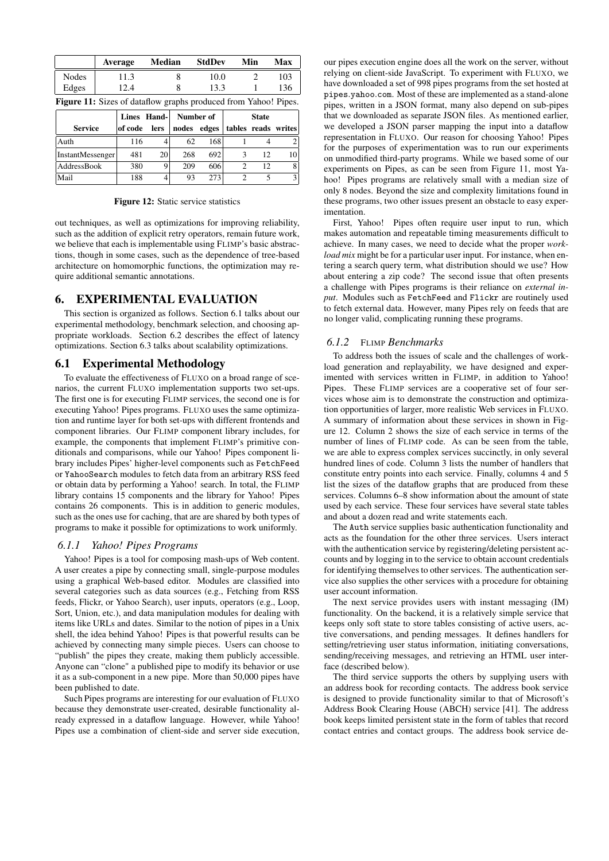|       | Average                                                         | Median | <b>StdDev</b> | Min | Max |
|-------|-----------------------------------------------------------------|--------|---------------|-----|-----|
| Nodes | 11.3                                                            |        | 10.0          |     | 103 |
| Edges | 12.4                                                            |        | 133           |     | 136 |
|       | Figure 11: Sizes of dataflow graphs produced from Yahoo! Pipes. |        |               |     |     |

|                  |         | Lines Hand-     | Number of |       | <b>State</b> |    |                     |  |  |  |
|------------------|---------|-----------------|-----------|-------|--------------|----|---------------------|--|--|--|
| <b>Service</b>   | of code | lers            | nodes     | edges |              |    | tables reads writes |  |  |  |
| Auth             | 116     |                 | 62        | 168   |              |    |                     |  |  |  |
| InstantMessenger | 481     | 20 <sup>1</sup> | 268       | 692   |              | 12 |                     |  |  |  |
| AddressBook      | 380     |                 | 209       | 606   |              | 12 |                     |  |  |  |
| Mail             | 188     |                 | 93        | 273   |              |    |                     |  |  |  |

#### Figure 12: Static service statistics

out techniques, as well as optimizations for improving reliability, such as the addition of explicit retry operators, remain future work, we believe that each is implementable using FLIMP's basic abstractions, though in some cases, such as the dependence of tree-based architecture on homomorphic functions, the optimization may require additional semantic annotations.

### 6. EXPERIMENTAL EVALUATION

This section is organized as follows. Section 6.1 talks about our experimental methodology, benchmark selection, and choosing appropriate workloads. Section 6.2 describes the effect of latency optimizations. Section 6.3 talks about scalability optimizations.

### 6.1 Experimental Methodology

To evaluate the effectiveness of FLUXO on a broad range of scenarios, the current FLUXO implementation supports two set-ups. The first one is for executing FLIMP services, the second one is for executing Yahoo! Pipes programs. FLUXO uses the same optimization and runtime layer for both set-ups with different frontends and component libraries. Our FLIMP component library includes, for example, the components that implement FLIMP's primitive conditionals and comparisons, while our Yahoo! Pipes component library includes Pipes' higher-level components such as FetchFeed or YahooSearch modules to fetch data from an arbitrary RSS feed or obtain data by performing a Yahoo! search. In total, the FLIMP library contains 15 components and the library for Yahoo! Pipes contains 26 components. This is in addition to generic modules, such as the ones use for caching, that are are shared by both types of programs to make it possible for optimizations to work uniformly.

#### *6.1.1 Yahoo! Pipes Programs*

Yahoo! Pipes is a tool for composing mash-ups of Web content. A user creates a pipe by connecting small, single-purpose modules using a graphical Web-based editor. Modules are classified into several categories such as data sources (e.g., Fetching from RSS feeds, Flickr, or Yahoo Search), user inputs, operators (e.g., Loop, Sort, Union, etc.), and data manipulation modules for dealing with items like URLs and dates. Similar to the notion of pipes in a Unix shell, the idea behind Yahoo! Pipes is that powerful results can be achieved by connecting many simple pieces. Users can choose to "publish" the pipes they create, making them publicly accessible. Anyone can "clone" a published pipe to modify its behavior or use it as a sub-component in a new pipe. More than 50,000 pipes have been published to date.

Such Pipes programs are interesting for our evaluation of FLUXO because they demonstrate user-created, desirable functionality already expressed in a dataflow language. However, while Yahoo! Pipes use a combination of client-side and server side execution,

our pipes execution engine does all the work on the server, without relying on client-side JavaScript. To experiment with FLUXO, we have downloaded a set of 998 pipes programs from the set hosted at pipes.yahoo.com. Most of these are implemented as a stand-alone pipes, written in a JSON format, many also depend on sub-pipes that we downloaded as separate JSON files. As mentioned earlier, we developed a JSON parser mapping the input into a dataflow representation in FLUXO. Our reason for choosing Yahoo! Pipes for the purposes of experimentation was to run our experiments on unmodified third-party programs. While we based some of our experiments on Pipes, as can be seen from Figure 11, most Yahoo! Pipes programs are relatively small with a median size of only 8 nodes. Beyond the size and complexity limitations found in these programs, two other issues present an obstacle to easy experimentation.

First, Yahoo! Pipes often require user input to run, which makes automation and repeatable timing measurements difficult to achieve. In many cases, we need to decide what the proper *workload mix* might be for a particular user input. For instance, when entering a search query term, what distribution should we use? How about entering a zip code? The second issue that often presents a challenge with Pipes programs is their reliance on *external input*. Modules such as FetchFeed and Flickr are routinely used to fetch external data. However, many Pipes rely on feeds that are no longer valid, complicating running these programs.

#### *6.1.2* FLIMP *Benchmarks*

To address both the issues of scale and the challenges of workload generation and replayability, we have designed and experimented with services written in FLIMP, in addition to Yahoo! Pipes. These FLIMP services are a cooperative set of four services whose aim is to demonstrate the construction and optimization opportunities of larger, more realistic Web services in FLUXO. A summary of information about these services in shown in Figure 12. Column 2 shows the size of each service in terms of the number of lines of FLIMP code. As can be seen from the table, we are able to express complex services succinctly, in only several hundred lines of code. Column 3 lists the number of handlers that constitute entry points into each service. Finally, columns 4 and 5 list the sizes of the dataflow graphs that are produced from these services. Columns 6–8 show information about the amount of state used by each service. These four services have several state tables and about a dozen read and write statements each.

The Auth service supplies basic authentication functionality and acts as the foundation for the other three services. Users interact with the authentication service by registering/deleting persistent accounts and by logging in to the service to obtain account credentials for identifying themselves to other services. The authentication service also supplies the other services with a procedure for obtaining user account information.

The next service provides users with instant messaging (IM) functionality. On the backend, it is a relatively simple service that keeps only soft state to store tables consisting of active users, active conversations, and pending messages. It defines handlers for setting/retrieving user status information, initiating conversations, sending/receiving messages, and retrieving an HTML user interface (described below).

The third service supports the others by supplying users with an address book for recording contacts. The address book service is designed to provide functionality similar to that of Microsoft's Address Book Clearing House (ABCH) service [41]. The address book keeps limited persistent state in the form of tables that record contact entries and contact groups. The address book service de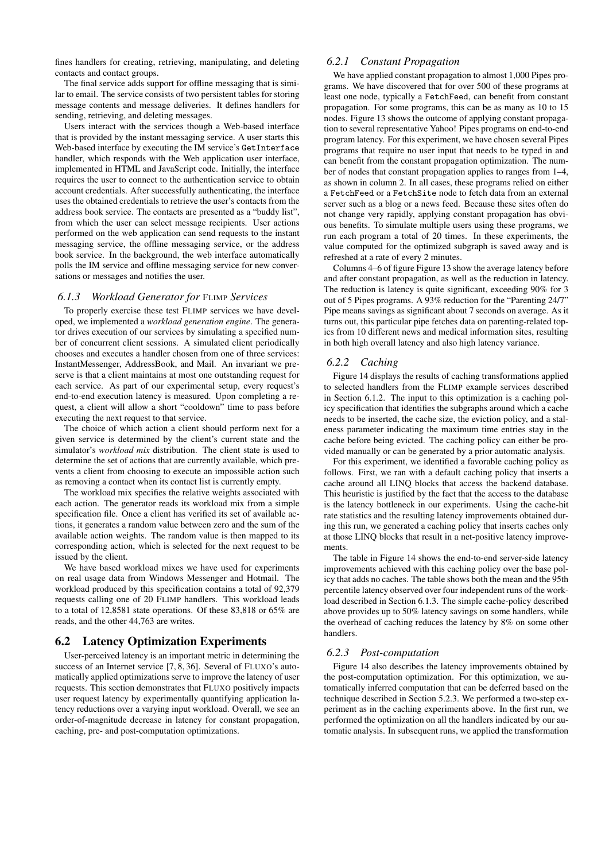fines handlers for creating, retrieving, manipulating, and deleting contacts and contact groups.

The final service adds support for offline messaging that is similar to email. The service consists of two persistent tables for storing message contents and message deliveries. It defines handlers for sending, retrieving, and deleting messages.

Users interact with the services though a Web-based interface that is provided by the instant messaging service. A user starts this Web-based interface by executing the IM service's GetInterface handler, which responds with the Web application user interface, implemented in HTML and JavaScript code. Initially, the interface requires the user to connect to the authentication service to obtain account credentials. After successfully authenticating, the interface uses the obtained credentials to retrieve the user's contacts from the address book service. The contacts are presented as a "buddy list", from which the user can select message recipients. User actions performed on the web application can send requests to the instant messaging service, the offline messaging service, or the address book service. In the background, the web interface automatically polls the IM service and offline messaging service for new conversations or messages and notifies the user.

#### *6.1.3 Workload Generator for* FLIMP *Services*

To properly exercise these test FLIMP services we have developed, we implemented a *workload generation engine*. The generator drives execution of our services by simulating a specified number of concurrent client sessions. A simulated client periodically chooses and executes a handler chosen from one of three services: InstantMessenger, AddressBook, and Mail. An invariant we preserve is that a client maintains at most one outstanding request for each service. As part of our experimental setup, every request's end-to-end execution latency is measured. Upon completing a request, a client will allow a short "cooldown" time to pass before executing the next request to that service.

The choice of which action a client should perform next for a given service is determined by the client's current state and the simulator's *workload mix* distribution. The client state is used to determine the set of actions that are currently available, which prevents a client from choosing to execute an impossible action such as removing a contact when its contact list is currently empty.

The workload mix specifies the relative weights associated with each action. The generator reads its workload mix from a simple specification file. Once a client has verified its set of available actions, it generates a random value between zero and the sum of the available action weights. The random value is then mapped to its corresponding action, which is selected for the next request to be issued by the client.

We have based workload mixes we have used for experiments on real usage data from Windows Messenger and Hotmail. The workload produced by this specification contains a total of 92,379 requests calling one of 20 FLIMP handlers. This workload leads to a total of 12,8581 state operations. Of these 83,818 or 65% are reads, and the other 44,763 are writes.

# 6.2 Latency Optimization Experiments

User-perceived latency is an important metric in determining the success of an Internet service [7, 8, 36]. Several of FLUXO's automatically applied optimizations serve to improve the latency of user requests. This section demonstrates that FLUXO positively impacts user request latency by experimentally quantifying application latency reductions over a varying input workload. Overall, we see an order-of-magnitude decrease in latency for constant propagation, caching, pre- and post-computation optimizations.

#### *6.2.1 Constant Propagation*

We have applied constant propagation to almost 1,000 Pipes programs. We have discovered that for over 500 of these programs at least one node, typically a FetchFeed, can benefit from constant propagation. For some programs, this can be as many as 10 to 15 nodes. Figure 13 shows the outcome of applying constant propagation to several representative Yahoo! Pipes programs on end-to-end program latency. For this experiment, we have chosen several Pipes programs that require no user input that needs to be typed in and can benefit from the constant propagation optimization. The number of nodes that constant propagation applies to ranges from 1–4, as shown in column 2. In all cases, these programs relied on either a FetchFeed or a FetchSite node to fetch data from an external server such as a blog or a news feed. Because these sites often do not change very rapidly, applying constant propagation has obvious benefits. To simulate multiple users using these programs, we run each program a total of 20 times. In these experiments, the value computed for the optimized subgraph is saved away and is refreshed at a rate of every 2 minutes.

Columns 4–6 of figure Figure 13 show the average latency before and after constant propagation, as well as the reduction in latency. The reduction is latency is quite significant, exceeding 90% for 3 out of 5 Pipes programs. A 93% reduction for the "Parenting 24/7" Pipe means savings as significant about 7 seconds on average. As it turns out, this particular pipe fetches data on parenting-related topics from 10 different news and medical information sites, resulting in both high overall latency and also high latency variance.

#### *6.2.2 Caching*

Figure 14 displays the results of caching transformations applied to selected handlers from the FLIMP example services described in Section 6.1.2. The input to this optimization is a caching policy specification that identifies the subgraphs around which a cache needs to be inserted, the cache size, the eviction policy, and a staleness parameter indicating the maximum time entries stay in the cache before being evicted. The caching policy can either be provided manually or can be generated by a prior automatic analysis.

For this experiment, we identified a favorable caching policy as follows. First, we ran with a default caching policy that inserts a cache around all LINQ blocks that access the backend database. This heuristic is justified by the fact that the access to the database is the latency bottleneck in our experiments. Using the cache-hit rate statistics and the resulting latency improvements obtained during this run, we generated a caching policy that inserts caches only at those LINQ blocks that result in a net-positive latency improvements.

The table in Figure 14 shows the end-to-end server-side latency improvements achieved with this caching policy over the base policy that adds no caches. The table shows both the mean and the 95th percentile latency observed over four independent runs of the workload described in Section 6.1.3. The simple cache-policy described above provides up to 50% latency savings on some handlers, while the overhead of caching reduces the latency by 8% on some other handlers.

### *6.2.3 Post-computation*

Figure 14 also describes the latency improvements obtained by the post-computation optimization. For this optimization, we automatically inferred computation that can be deferred based on the technique described in Section 5.2.3. We performed a two-step experiment as in the caching experiments above. In the first run, we performed the optimization on all the handlers indicated by our automatic analysis. In subsequent runs, we applied the transformation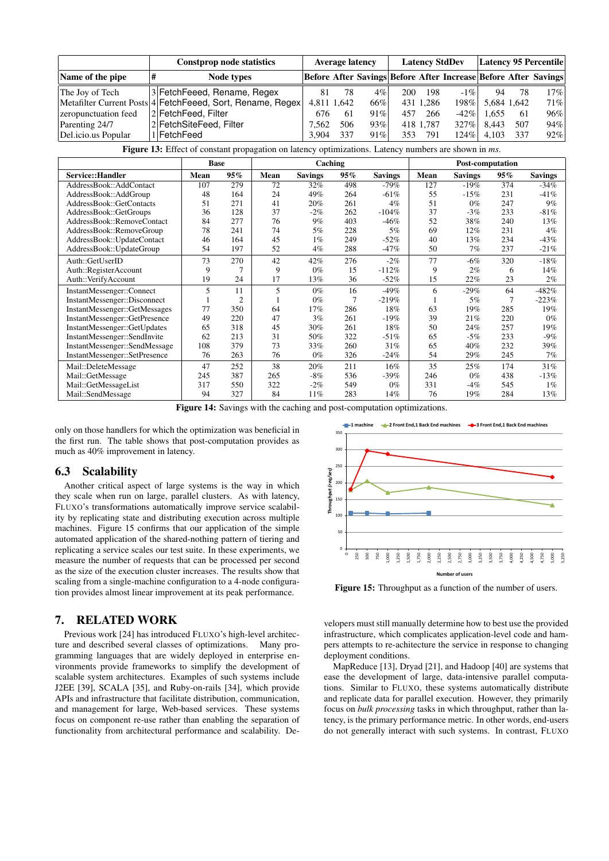|                      | <b>Constprop node statistics</b> |                                                             |             | <b>Average latency</b> |       |     | <b>Latency StdDev</b> |                                                                 |       | <b>Latency 95 Percentile</b> |     |  |
|----------------------|----------------------------------|-------------------------------------------------------------|-------------|------------------------|-------|-----|-----------------------|-----------------------------------------------------------------|-------|------------------------------|-----|--|
| Name of the pipe     | #                                | <b>Node types</b>                                           |             |                        |       |     |                       | Before After Savings Before After Increase Before After Savings |       |                              |     |  |
| The Joy of Tech      |                                  | 3 FetchFeeed, Rename, Regex                                 | 81          | 78                     | $4\%$ | 200 | 198                   | $-1\%$                                                          | 94    | 78                           | 17% |  |
|                      |                                  | Metafilter Current Posts 4 Fetch Feeed, Sort, Rename, Regex | 4,811 1,642 |                        | 66%   |     | 431 1.286             | 198%                                                            |       | 5.684 1.642                  | 71% |  |
| zeropunctuation feed |                                  | 2 FetchFeed, Filter                                         | 676         | -61                    | 91%   | 457 | -266                  | $-42%$                                                          | 1.655 | - 61                         | 96% |  |
| Parenting 24/7       |                                  | 2 FetchSiteFeed, Filter                                     | 7.562       | 506                    | 93%   |     | 418 1.787             | 327%                                                            | 8.443 | 507                          | 94% |  |
| Del.icio.us Popular  |                                  | 1 FetchFeed                                                 | 3.904       | 337                    | 91%   | 353 | 791                   | 124%                                                            | 4.103 | 337                          | 92% |  |

Figure 13: Effect of constant propagation on latency optimizations. Latency numbers are shown in *ms*.

|                               | <b>Base</b> |                | Caching |                |                |                | <b>Post-computation</b> |                |                |                |
|-------------------------------|-------------|----------------|---------|----------------|----------------|----------------|-------------------------|----------------|----------------|----------------|
| Service::Handler              | Mean        | 95%            | Mean    | <b>Savings</b> | 95%            | <b>Savings</b> | Mean                    | <b>Savings</b> | 95%            | <b>Savings</b> |
| AddressBook::AddContact       | 107         | 279            | 72      | 32%            | 498            | $-79%$         | 127                     | $-19%$         | 374            | $-34%$         |
| AddressBook::AddGroup         | 48          | 164            | 24      | 49%            | 264            | $-61%$         | 55                      | $-15%$         | 231            | $-41%$         |
| AddressBook::GetContacts      | 51          | 271            | 41      | 20%            | 261            | $4\%$          | 51                      | $0\%$          | 247            | 9%             |
| AddressBook::GetGroups        | 36          | 128            | 37      | $-2%$          | 262            | $-104%$        | 37                      | $-3%$          | 233            | $-81%$         |
| AddressBook::RemoveContact    | 84          | 277            | 76      | $9\%$          | 403            | $-46%$         | 52                      | 38%            | 240            | 13%            |
| AddressBook::RemoveGroup      | 78          | 241            | 74      | 5%             | 228            | 5%             | 69                      | 12%            | 231            | 4%             |
| AddressBook::UpdateContact    | 46          | 164            | 45      | 1%             | 249            | $-52\%$        | 40                      | 13%            | 234            | $-43%$         |
| AddressBook::UpdateGroup      | 54          | 197            | 52      | $4\%$          | 288            | $-47%$         | 50                      | 7%             | 237            | $-21%$         |
| Auth::GetUserID               | 73          | 270            | 42      | 42%            | 276            | $-2\%$         | 77                      | $-6%$          | 320            | $-18%$         |
| Auth::RegisterAccount         | 9           | 7              | 9       | $0\%$          | 15             | $-112%$        | 9                       | 2%             | 6              | 14%            |
| Auth::VerifyAccount           | 19          | 24             | 17      | 13%            | 36             | $-52\%$        | 15                      | 22%            | 23             | $2\%$          |
| InstantMessenger::Connect     | 5           | 11             | 5       | $0\%$          | 16             | $-49%$         | 6                       | $-29%$         | 64             | $-482%$        |
| InstantMessenger::Disconnect  |             | $\overline{2}$ |         | $0\%$          | $\overline{7}$ | $-219%$        |                         | 5%             | $\overline{7}$ | $-223%$        |
| InstantMessenger::GetMessages | 77          | 350            | 64      | 17%            | 286            | 18%            | 63                      | 19%            | 285            | 19%            |
| InstantMessenger::GetPresence | 49          | 220            | 47      | 3%             | 261            | $-19%$         | 39                      | 21%            | 220            | $0\%$          |
| InstantMessenger::GetUpdates  | 65          | 318            | 45      | 30%            | 261            | 18%            | 50                      | 24%            | 257            | 19%            |
| InstantMessenger::SendInvite  | 62          | 213            | 31      | 50%            | 322            | $-51%$         | 65                      | $-5%$          | 233            | $-9%$          |
| InstantMessenger::SendMessage | 108         | 379            | 73      | 33%            | 260            | 31%            | 65                      | 40%            | 232            | 39%            |
| InstantMessenger::SetPresence | 76          | 263            | 76      | $0\%$          | 326            | $-24%$         | 54                      | 29%            | 245            | 7%             |
| Mail::DeleteMessage           | 47          | 252            | 38      | 20%            | 211            | 16%            | 35                      | 25%            | 174            | 31%            |
| Mail::GetMessage              | 245         | 387            | 265     | $-8\%$         | 536            | $-39%$         | 246                     | $0\%$          | 438            | $-13%$         |
| Mail::GetMessageList          | 317         | 550            | 322     | $-2%$          | 549            | $0\%$          | 331                     | $-4%$          | 545            | $1\%$          |
| Mail::SendMessage             | 94          | 327            | 84      | 11%            | 283            | 14%            | 76                      | 19%            | 284            | 13%            |

Figure 14: Savings with the caching and post-computation optimizations.

only on those handlers for which the optimization was beneficial in the first run. The table shows that post-computation provides as much as 40% improvement in latency.

### 6.3 Scalability

Another critical aspect of large systems is the way in which they scale when run on large, parallel clusters. As with latency, FLUXO's transformations automatically improve service scalability by replicating state and distributing execution across multiple machines. Figure 15 confirms that our application of the simple automated application of the shared-nothing pattern of tiering and replicating a service scales our test suite. In these experiments, we measure the number of requests that can be processed per second as the size of the execution cluster increases. The results show that scaling from a single-machine configuration to a 4-node configuration provides almost linear improvement at its peak performance.

# 7. RELATED WORK

Previous work [24] has introduced FLUXO's high-level architecture and described several classes of optimizations. Many programming languages that are widely deployed in enterprise environments provide frameworks to simplify the development of scalable system architectures. Examples of such systems include J2EE [39], SCALA [35], and Ruby-on-rails [34], which provide APIs and infrastructure that facilitate distribution, communication, and management for large, Web-based services. These systems focus on component re-use rather than enabling the separation of functionality from architectural performance and scalability. De-



Figure 15: Throughput as a function of the number of users.

velopers must still manually determine how to best use the provided infrastructure, which complicates application-level code and hampers attempts to re-achitecture the service in response to changing deployment conditions.

MapReduce [13], Dryad [21], and Hadoop [40] are systems that ease the development of large, data-intensive parallel computations. Similar to FLUXO, these systems automatically distribute and replicate data for parallel execution. However, they primarily focus on *bulk processing* tasks in which throughput, rather than latency, is the primary performance metric. In other words, end-users do not generally interact with such systems. In contrast, FLUXO